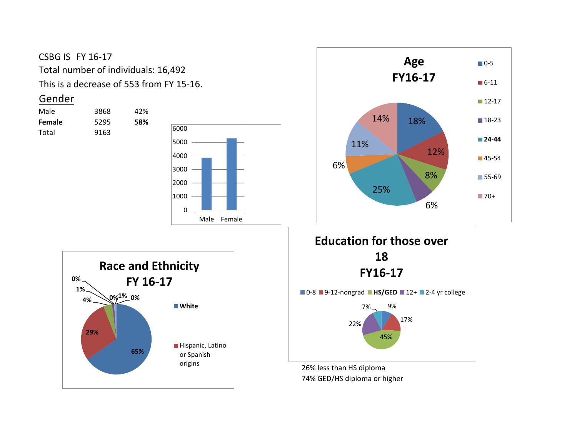## CSBG IS FY 16-17 Total number of individuals: 16,492 This is a decrease of 553 from FY 15-16.

## Gender

| Male          | 3868 | 42% |
|---------------|------|-----|
| <b>Female</b> | 5295 | 58% |
| Total         | 9163 |     |









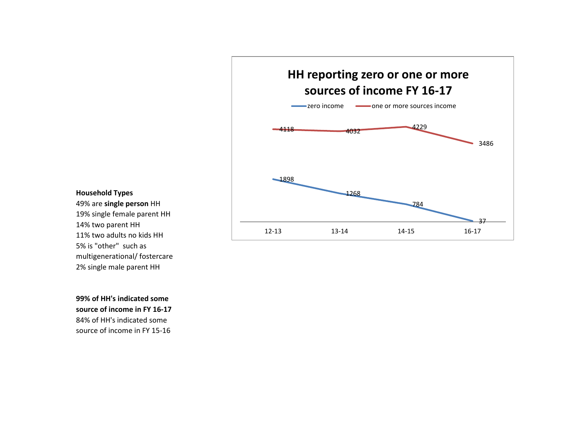

## **Household Types**

49% are **single person** HH 19% single female parent HH 14% two parent HH 11% two adults no kids HH 2% single male parent HH 5% is "other" such as multigenerational/ fostercare

**99% of HH's indicated some source of income in FY 16-17** 84% of HH's indicated some source of income in FY 15-16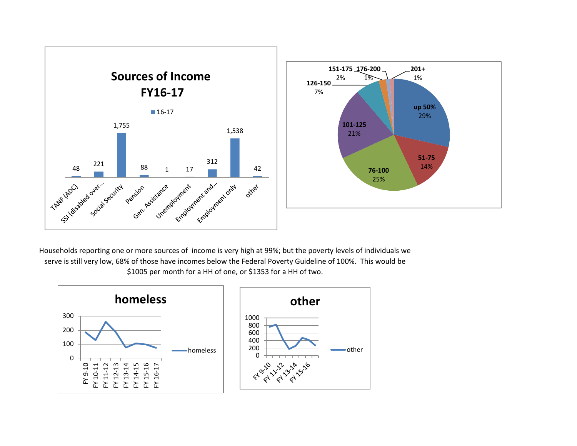

29%

**51-75**

Households reporting one or more sources of income is very high at 99%; but the poverty levels of individuals we serve is still very low, 68% of those have incomes below the Federal Poverty Guideline of 100%. This would be \$1005 per month for a HH of one, or \$1353 for a HH of two.